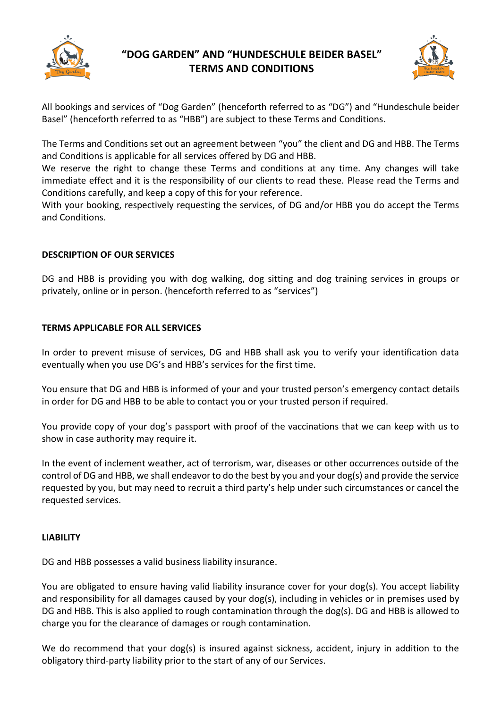

# **"DOG GARDEN" AND "HUNDESCHULE BEIDER BASEL" TERMS AND CONDITIONS**



All bookings and services of "Dog Garden" (henceforth referred to as "DG") and "Hundeschule beider Basel" (henceforth referred to as "HBB") are subject to these Terms and Conditions.

The Terms and Conditions set out an agreement between "you" the client and DG and HBB. The Terms and Conditions is applicable for all services offered by DG and HBB.

We reserve the right to change these Terms and conditions at any time. Any changes will take immediate effect and it is the responsibility of our clients to read these. Please read the Terms and Conditions carefully, and keep a copy of this for your reference.

With your booking, respectively requesting the services, of DG and/or HBB you do accept the Terms and Conditions.

#### **DESCRIPTION OF OUR SERVICES**

DG and HBB is providing you with dog walking, dog sitting and dog training services in groups or privately, online or in person. (henceforth referred to as "services")

#### **TERMS APPLICABLE FOR ALL SERVICES**

In order to prevent misuse of services, DG and HBB shall ask you to verify your identification data eventually when you use DG's and HBB's services for the first time.

You ensure that DG and HBB is informed of your and your trusted person's emergency contact details in order for DG and HBB to be able to contact you or your trusted person if required.

You provide copy of your dog's passport with proof of the vaccinations that we can keep with us to show in case authority may require it.

In the event of inclement weather, act of terrorism, war, diseases or other occurrences outside of the control of DG and HBB, we shall endeavor to do the best by you and your dog(s) and provide the service requested by you, but may need to recruit a third party's help under such circumstances or cancel the requested services.

#### **LIABILITY**

DG and HBB possesses a valid business liability insurance.

You are obligated to ensure having valid liability insurance cover for your dog(s). You accept liability and responsibility for all damages caused by your dog(s), including in vehicles or in premises used by DG and HBB. This is also applied to rough contamination through the dog(s). DG and HBB is allowed to charge you for the clearance of damages or rough contamination.

We do recommend that your dog(s) is insured against sickness, accident, injury in addition to the obligatory third-party liability prior to the start of any of our Services.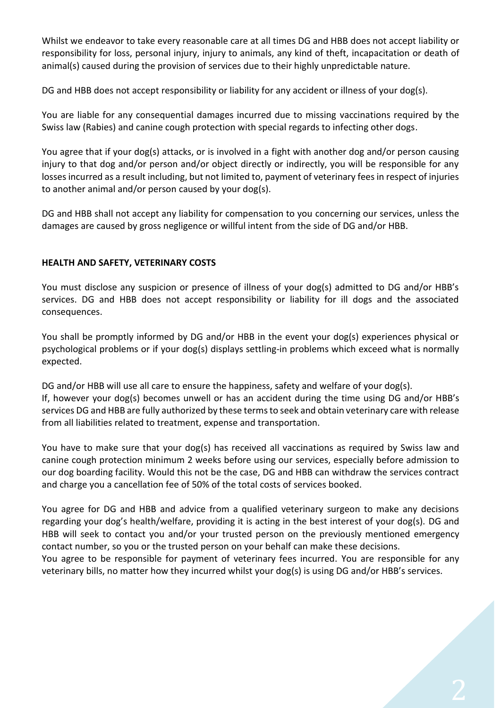Whilst we endeavor to take every reasonable care at all times DG and HBB does not accept liability or responsibility for loss, personal injury, injury to animals, any kind of theft, incapacitation or death of animal(s) caused during the provision of services due to their highly unpredictable nature.

DG and HBB does not accept responsibility or liability for any accident or illness of your dog(s).

You are liable for any consequential damages incurred due to missing vaccinations required by the Swiss law (Rabies) and canine cough protection with special regards to infecting other dogs.

You agree that if your dog(s) attacks, or is involved in a fight with another dog and/or person causing injury to that dog and/or person and/or object directly or indirectly, you will be responsible for any losses incurred as a result including, but not limited to, payment of veterinary fees in respect of injuries to another animal and/or person caused by your dog(s).

DG and HBB shall not accept any liability for compensation to you concerning our services, unless the damages are caused by gross negligence or willful intent from the side of DG and/or HBB.

## **HEALTH AND SAFETY, VETERINARY COSTS**

You must disclose any suspicion or presence of illness of your dog(s) admitted to DG and/or HBB's services. DG and HBB does not accept responsibility or liability for ill dogs and the associated consequences.

You shall be promptly informed by DG and/or HBB in the event your dog(s) experiences physical or psychological problems or if your dog(s) displays settling-in problems which exceed what is normally expected.

DG and/or HBB will use all care to ensure the happiness, safety and welfare of your dog(s). If, however your dog(s) becomes unwell or has an accident during the time using DG and/or HBB's services DG and HBB are fully authorized by these terms to seek and obtain veterinary care with release from all liabilities related to treatment, expense and transportation.

You have to make sure that your dog(s) has received all vaccinations as required by Swiss law and canine cough protection minimum 2 weeks before using our services, especially before admission to our dog boarding facility. Would this not be the case, DG and HBB can withdraw the services contract and charge you a cancellation fee of 50% of the total costs of services booked.

You agree for DG and HBB and advice from a qualified veterinary surgeon to make any decisions regarding your dog's health/welfare, providing it is acting in the best interest of your dog(s). DG and HBB will seek to contact you and/or your trusted person on the previously mentioned emergency contact number, so you or the trusted person on your behalf can make these decisions.

You agree to be responsible for payment of veterinary fees incurred. You are responsible for any veterinary bills, no matter how they incurred whilst your dog(s) is using DG and/or HBB's services.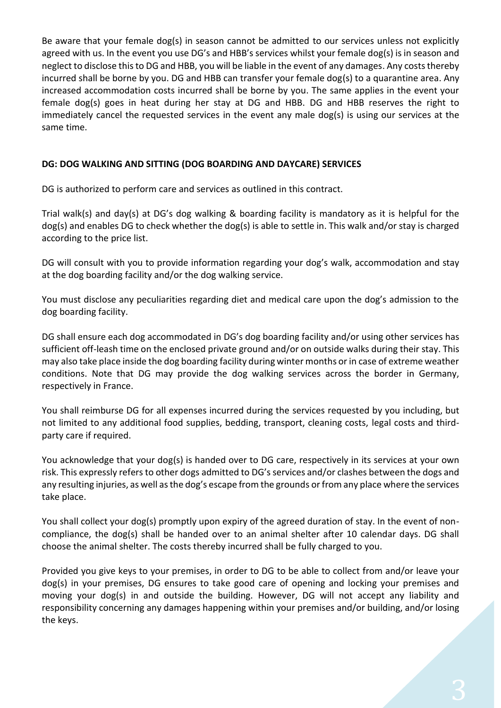Be aware that your female dog(s) in season cannot be admitted to our services unless not explicitly agreed with us. In the event you use DG's and HBB's services whilst your female dog(s) is in season and neglect to disclose this to DG and HBB, you will be liable in the event of any damages. Any costs thereby incurred shall be borne by you. DG and HBB can transfer your female dog(s) to a quarantine area. Any increased accommodation costs incurred shall be borne by you. The same applies in the event your female dog(s) goes in heat during her stay at DG and HBB. DG and HBB reserves the right to immediately cancel the requested services in the event any male dog(s) is using our services at the same time.

# **DG: DOG WALKING AND SITTING (DOG BOARDING AND DAYCARE) SERVICES**

DG is authorized to perform care and services as outlined in this contract.

Trial walk(s) and day(s) at DG's dog walking & boarding facility is mandatory as it is helpful for the dog(s) and enables DG to check whether the dog(s) is able to settle in. This walk and/or stay is charged according to the price list.

DG will consult with you to provide information regarding your dog's walk, accommodation and stay at the dog boarding facility and/or the dog walking service.

You must disclose any peculiarities regarding diet and medical care upon the dog's admission to the dog boarding facility.

DG shall ensure each dog accommodated in DG's dog boarding facility and/or using other services has sufficient off-leash time on the enclosed private ground and/or on outside walks during their stay. This may also take place inside the dog boarding facility during winter months or in case of extreme weather conditions. Note that DG may provide the dog walking services across the border in Germany, respectively in France.

You shall reimburse DG for all expenses incurred during the services requested by you including, but not limited to any additional food supplies, bedding, transport, cleaning costs, legal costs and thirdparty care if required.

You acknowledge that your dog(s) is handed over to DG care, respectively in its services at your own risk. This expressly refers to other dogs admitted to DG'sservices and/or clashes between the dogs and any resulting injuries, as well as the dog's escape from the grounds or from any place where the services take place.

You shall collect your dog(s) promptly upon expiry of the agreed duration of stay. In the event of noncompliance, the dog(s) shall be handed over to an animal shelter after 10 calendar days. DG shall choose the animal shelter. The costs thereby incurred shall be fully charged to you.

Provided you give keys to your premises, in order to DG to be able to collect from and/or leave your dog(s) in your premises, DG ensures to take good care of opening and locking your premises and moving your dog(s) in and outside the building. However, DG will not accept any liability and responsibility concerning any damages happening within your premises and/or building, and/or losing the keys.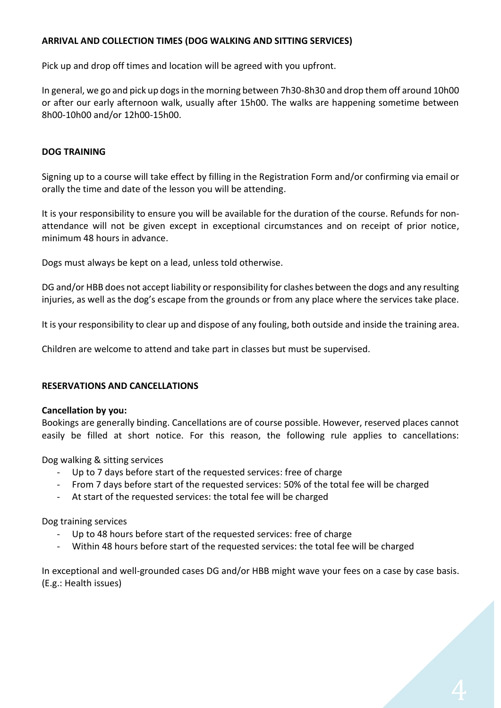# **ARRIVAL AND COLLECTION TIMES (DOG WALKING AND SITTING SERVICES)**

Pick up and drop off times and location will be agreed with you upfront.

In general, we go and pick up dogs in the morning between 7h30-8h30 and drop them off around 10h00 or after our early afternoon walk, usually after 15h00. The walks are happening sometime between 8h00-10h00 and/or 12h00-15h00.

## **DOG TRAINING**

Signing up to a course will take effect by filling in the Registration Form and/or confirming via email or orally the time and date of the lesson you will be attending.

It is your responsibility to ensure you will be available for the duration of the course. Refunds for nonattendance will not be given except in exceptional circumstances and on receipt of prior notice, minimum 48 hours in advance.

Dogs must always be kept on a lead, unless told otherwise.

DG and/or HBB does not accept liability or responsibility for clashes between the dogs and any resulting injuries, as well as the dog's escape from the grounds or from any place where the services take place.

It is your responsibility to clear up and dispose of any fouling, both outside and inside the training area.

Children are welcome to attend and take part in classes but must be supervised.

## **RESERVATIONS AND CANCELLATIONS**

## **Cancellation by you:**

Bookings are generally binding. Cancellations are of course possible. However, reserved places cannot easily be filled at short notice. For this reason, the following rule applies to cancellations:

Dog walking & sitting services

- Up to 7 days before start of the requested services: free of charge
- From 7 days before start of the requested services: 50% of the total fee will be charged
- At start of the requested services: the total fee will be charged

Dog training services

- Up to 48 hours before start of the requested services: free of charge
- Within 48 hours before start of the requested services: the total fee will be charged

In exceptional and well-grounded cases DG and/or HBB might wave your fees on a case by case basis. (E.g.: Health issues)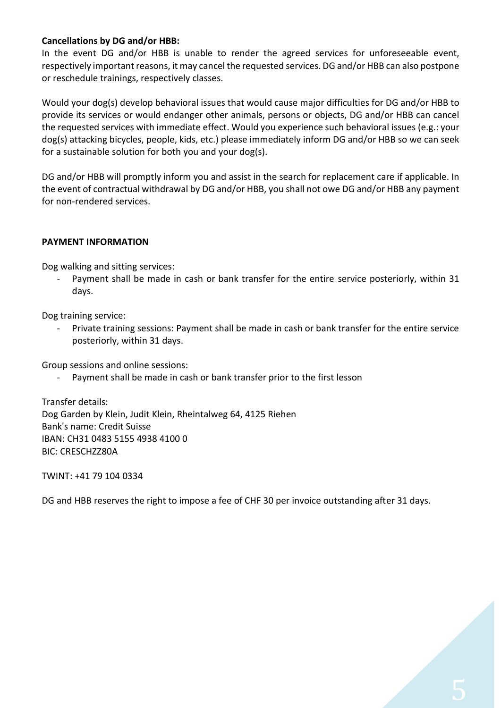## **Cancellations by DG and/or HBB:**

In the event DG and/or HBB is unable to render the agreed services for unforeseeable event, respectively important reasons, it may cancel the requested services. DG and/or HBB can also postpone or reschedule trainings, respectively classes.

Would your dog(s) develop behavioral issues that would cause major difficulties for DG and/or HBB to provide its services or would endanger other animals, persons or objects, DG and/or HBB can cancel the requested services with immediate effect. Would you experience such behavioral issues (e.g.: your dog(s) attacking bicycles, people, kids, etc.) please immediately inform DG and/or HBB so we can seek for a sustainable solution for both you and your dog(s).

DG and/or HBB will promptly inform you and assist in the search for replacement care if applicable. In the event of contractual withdrawal by DG and/or HBB, you shall not owe DG and/or HBB any payment for non-rendered services.

#### **PAYMENT INFORMATION**

Dog walking and sitting services:

Payment shall be made in cash or bank transfer for the entire service posteriorly, within 31 days.

Dog training service:

Private training sessions: Payment shall be made in cash or bank transfer for the entire service posteriorly, within 31 days.

Group sessions and online sessions:

Payment shall be made in cash or bank transfer prior to the first lesson

Transfer details: Dog Garden by Klein, Judit Klein, Rheintalweg 64, 4125 Riehen Bank's name: Credit Suisse IBAN: CH31 0483 5155 4938 4100 0 BIC: CRESCHZZ80A

TWINT: +41 79 104 0334

DG and HBB reserves the right to impose a fee of CHF 30 per invoice outstanding after 31 days.